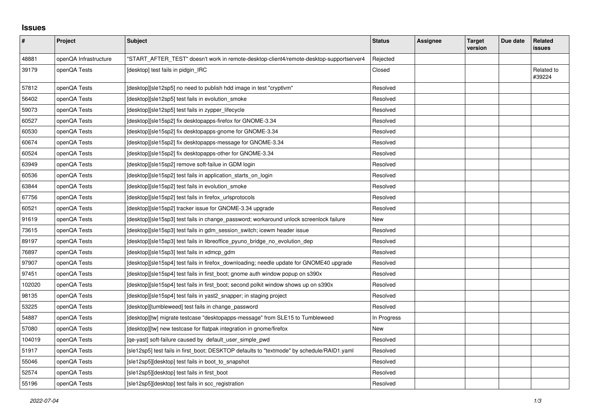## **Issues**

| #      | Project               | <b>Subject</b>                                                                             | <b>Status</b> | Assignee | <b>Target</b><br>version | Due date | Related<br>issues    |
|--------|-----------------------|--------------------------------------------------------------------------------------------|---------------|----------|--------------------------|----------|----------------------|
| 48881  | openQA Infrastructure | "START AFTER TEST" doesn't work in remote-desktop-client4/remote-desktop-supportserver4    | Rejected      |          |                          |          |                      |
| 39179  | openQA Tests          | [desktop] test fails in pidgin_IRC                                                         | Closed        |          |                          |          | Related to<br>#39224 |
| 57812  | openQA Tests          | [desktop][sle12sp5] no need to publish hdd image in test "cryptlvm"                        | Resolved      |          |                          |          |                      |
| 56402  | openQA Tests          | [desktop][sle12sp5] test fails in evolution smoke                                          | Resolved      |          |                          |          |                      |
| 59073  | openQA Tests          | [desktop][sle12sp5] test fails in zypper_lifecycle                                         | Resolved      |          |                          |          |                      |
| 60527  | openQA Tests          | [desktop][sle15sp2] fix desktopapps-firefox for GNOME-3.34                                 | Resolved      |          |                          |          |                      |
| 60530  | openQA Tests          | [desktop][sle15sp2] fix desktopapps-gnome for GNOME-3.34                                   | Resolved      |          |                          |          |                      |
| 60674  | openQA Tests          | [desktop][sle15sp2] fix desktopapps-message for GNOME-3.34                                 | Resolved      |          |                          |          |                      |
| 60524  | openQA Tests          | [desktop][sle15sp2] fix desktopapps-other for GNOME-3.34                                   | Resolved      |          |                          |          |                      |
| 63949  | openQA Tests          | [desktop][sle15sp2] remove soft-failue in GDM login                                        | Resolved      |          |                          |          |                      |
| 60536  | openQA Tests          | [desktop][sle15sp2] test fails in application_starts_on_login                              | Resolved      |          |                          |          |                      |
| 63844  | openQA Tests          | [desktop][sle15sp2] test fails in evolution_smoke                                          | Resolved      |          |                          |          |                      |
| 67756  | openQA Tests          | [desktop][sle15sp2] test fails in firefox urlsprotocols                                    | Resolved      |          |                          |          |                      |
| 60521  | openQA Tests          | [desktop][sle15sp2] tracker issue for GNOME-3.34 upgrade                                   | Resolved      |          |                          |          |                      |
| 91619  | openQA Tests          | [desktop][sle15sp3] test fails in change password; workaround unlock screenlock failure    | New           |          |                          |          |                      |
| 73615  | openQA Tests          | [desktop][sle15sp3] test fails in gdm session switch; icewm header issue                   | Resolved      |          |                          |          |                      |
| 89197  | openQA Tests          | [desktop][sle15sp3] test fails in libreoffice_pyuno_bridge_no_evolution_dep                | Resolved      |          |                          |          |                      |
| 76897  | openQA Tests          | [desktop][sle15sp3] test fails in xdmcp_gdm                                                | Resolved      |          |                          |          |                      |
| 97907  | openQA Tests          | [desktop][sle15sp4] test fails in firefox downloading; needle update for GNOME40 upgrade   | Resolved      |          |                          |          |                      |
| 97451  | openQA Tests          | [desktop][sle15sp4] test fails in first_boot; gnome auth window popup on s390x             | Resolved      |          |                          |          |                      |
| 102020 | openQA Tests          | [desktop][sle15sp4] test fails in first boot; second polkit window shows up on s390x       | Resolved      |          |                          |          |                      |
| 98135  | openQA Tests          | [desktop][sle15sp4] test fails in yast2_snapper; in staging project                        | Resolved      |          |                          |          |                      |
| 53225  | openQA Tests          | [desktop][tumbleweed] test fails in change_password                                        | Resolved      |          |                          |          |                      |
| 54887  | openQA Tests          | [desktop][tw] migrate testcase "desktopapps-message" from SLE15 to Tumbleweed              | In Progress   |          |                          |          |                      |
| 57080  | openQA Tests          | [desktop][tw] new testcase for flatpak integration in gnome/firefox                        | New           |          |                          |          |                      |
| 104019 | openQA Tests          | [ge-yast] soft-failure caused by default user simple pwd                                   | Resolved      |          |                          |          |                      |
| 51917  | openQA Tests          | [sle12sp5] test fails in first_boot; DESKTOP defaults to "textmode" by schedule/RAID1.yaml | Resolved      |          |                          |          |                      |
| 55046  | openQA Tests          | [sle12sp5][desktop] test fails in boot to snapshot                                         | Resolved      |          |                          |          |                      |
| 52574  | openQA Tests          | [sle12sp5][desktop] test fails in first_boot                                               | Resolved      |          |                          |          |                      |
| 55196  | openQA Tests          | [sle12sp5][desktop] test fails in scc_registration                                         | Resolved      |          |                          |          |                      |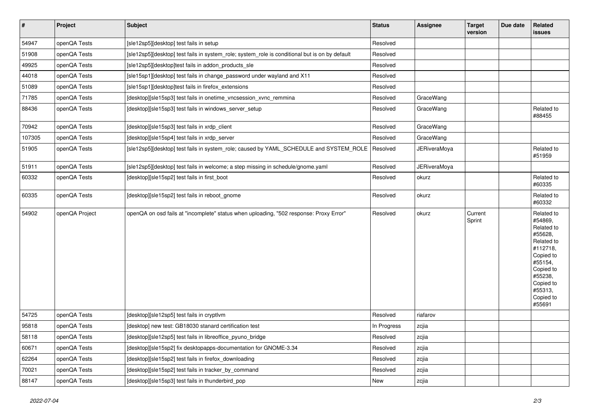| $\vert$ # | Project        | <b>Subject</b>                                                                                 | <b>Status</b> | <b>Assignee</b>     | <b>Target</b><br>version | Due date | Related<br><b>issues</b>                                                                                                                                                |
|-----------|----------------|------------------------------------------------------------------------------------------------|---------------|---------------------|--------------------------|----------|-------------------------------------------------------------------------------------------------------------------------------------------------------------------------|
| 54947     | openQA Tests   | [sle12sp5][desktop] test fails in setup                                                        | Resolved      |                     |                          |          |                                                                                                                                                                         |
| 51908     | openQA Tests   | [sle12sp5][desktop] test fails in system role; system role is conditional but is on by default | Resolved      |                     |                          |          |                                                                                                                                                                         |
| 49925     | openQA Tests   | [sle12sp5][desktop]test fails in addon_products_sle                                            | Resolved      |                     |                          |          |                                                                                                                                                                         |
| 44018     | openQA Tests   | [sle15sp1][desktop] test fails in change_password under wayland and X11                        | Resolved      |                     |                          |          |                                                                                                                                                                         |
| 51089     | openQA Tests   | [sle15sp1][desktop]test fails in firefox extensions                                            | Resolved      |                     |                          |          |                                                                                                                                                                         |
| 71785     | openQA Tests   | [desktop][sle15sp3] test fails in onetime_vncsession_xvnc_remmina                              | Resolved      | GraceWang           |                          |          |                                                                                                                                                                         |
| 88436     | openQA Tests   | [desktop][sle15sp3] test fails in windows server setup                                         | Resolved      | GraceWang           |                          |          | Related to<br>#88455                                                                                                                                                    |
| 70942     | openQA Tests   | [desktop][sle15sp3] test fails in xrdp_client                                                  | Resolved      | GraceWang           |                          |          |                                                                                                                                                                         |
| 107305    | openQA Tests   | [desktop][sle15sp4] test fails in xrdp_server                                                  | Resolved      | GraceWang           |                          |          |                                                                                                                                                                         |
| 51905     | openQA Tests   | [sle12sp5][desktop] test fails in system_role; caused by YAML_SCHEDULE and SYSTEM_ROLE         | Resolved      | JERiveraMoya        |                          |          | Related to<br>#51959                                                                                                                                                    |
| 51911     | openQA Tests   | [sle12sp5][desktop] test fails in welcome; a step missing in schedule/gnome.yaml               | Resolved      | <b>JERiveraMoya</b> |                          |          |                                                                                                                                                                         |
| 60332     | openQA Tests   | [desktop][sle15sp2] test fails in first_boot                                                   | Resolved      | okurz               |                          |          | Related to<br>#60335                                                                                                                                                    |
| 60335     | openQA Tests   | [desktop][sle15sp2] test fails in reboot gnome                                                 | Resolved      | okurz               |                          |          | Related to<br>#60332                                                                                                                                                    |
| 54902     | openQA Project | openQA on osd fails at "incomplete" status when uploading, "502 response: Proxy Error"         | Resolved      | okurz               | Current<br>Sprint        |          | Related to<br>#54869,<br>Related to<br>#55628,<br>Related to<br>#112718,<br>Copied to<br>#55154,<br>Copied to<br>#55238,<br>Copied to<br>#55313,<br>Copied to<br>#55691 |
| 54725     | openQA Tests   | [desktop][sle12sp5] test fails in cryptlvm                                                     | Resolved      | riafarov            |                          |          |                                                                                                                                                                         |
| 95818     | openQA Tests   | [desktop] new test: GB18030 stanard certification test                                         | In Progress   | zcjia               |                          |          |                                                                                                                                                                         |
| 58118     | openQA Tests   | [desktop][sle12sp5] test fails in libreoffice_pyuno_bridge                                     | Resolved      | zcjia               |                          |          |                                                                                                                                                                         |
| 60671     | openQA Tests   | [desktop][sle15sp2] fix desktopapps-documentation for GNOME-3.34                               | Resolved      | zcjia               |                          |          |                                                                                                                                                                         |
| 62264     | openQA Tests   | [desktop][sle15sp2] test fails in firefox_downloading                                          | Resolved      | zcjia               |                          |          |                                                                                                                                                                         |
| 70021     | openQA Tests   | [desktop][sle15sp2] test fails in tracker by command                                           | Resolved      | zcjia               |                          |          |                                                                                                                                                                         |
| 88147     | openQA Tests   | [desktop][sle15sp3] test fails in thunderbird_pop                                              | <b>New</b>    | zcjia               |                          |          |                                                                                                                                                                         |